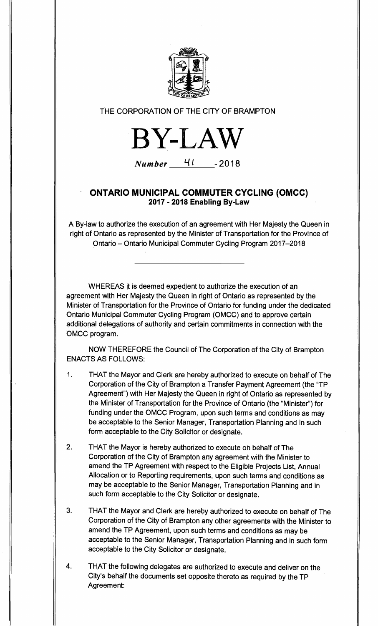

THE CORPORATION OF THE CITY OF BRAMPTON



**Number L<sup>i</sup> <sup>I</sup>-2018** 

## **ONTARIO MUNICIPAL COMMUTER CYCLING (OMCC) 2017 - 2018 Enabling By-Law**

A By-law to authorize the execution of an agreement with Her Majesty the Queen in right of Ontario as represented by the Minister of Transportation for the Province of Ontario — Ontario Municipal Commuter Cycling Program 2017-2018

WHEREAS it is deemed expedient to authorize the execution of an agreement with Her Majesty the Queen in right of Ontario as represented by the Minister of Transportation for the Province of Ontario for funding under the dedicated Ontario Municipal Commuter Cycling Program (OMCC) and to approve certain additional delegations of authority and certain commitments in connection with the OMCC program.

NOW THEREFORE the Council of The Corporation of the City of Brampton ENACTS AS FOLLOWS:

- 1. THAT the Mayor and Clerk are hereby authorized to execute on behalf of The Corporation of the City of Brampton a Transfer Payment Agreement (the "TP Agreement") with Her Majesty the Queen in right of Ontario as represented by the Minister of Transportation for the Province of Ontario (the "Minister") for funding under the OMCC Program, upon such terms and conditions as may be acceptable to the Senior Manager, Transportation Planning and in such form acceptable to the City Solicitor or designate.
- 2. THAT the Mayor is hereby authorized to execute on behalf of The Corporation of the City of Brampton any agreement with the Minister to amend the TP Agreement with respect to the Eligible Projects List, Annual Allocation or to Reporting requirements, upon such terms and conditions as may be acceptable to the Senior Manager, Transportation Planning and in such form acceptable to the City Solicitor or designate.
- 3. THAT the Mayor and Clerk are hereby authorized to execute on behalf of The Corporation of the City of Brampton any other agreements with the Minister to amend the TP Agreement, upon such terms and conditions as may be acceptable to the Senior Manager, Transportation Planning and in such form acceptable to the City Solicitor or designate.
- 4. THAT the following delegates are authorized to execute and deliver on the City's behalf the documents set opposite thereto as required by the TP Agreement: